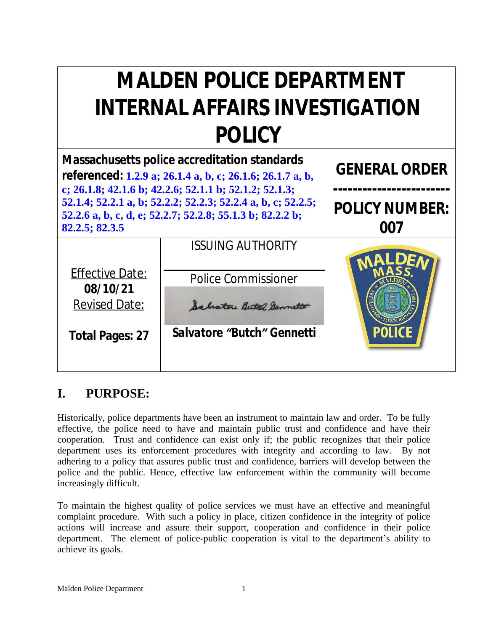# **MALDEN POLICE DEPARTMENT INTERNAL AFFAIRS INVESTIGATION POLICY**

| Massachusetts police accreditation standards<br>referenced: 1.2.9 a; 26.1.4 a, b, c; 26.1.6; 26.1.7 a, b,<br>c; 26.1.8; 42.1.6 b; 42.2.6; 52.1.1 b; 52.1.2; 52.1.3;<br>52.1.4; 52.2.1 a, b; 52.2.2; 52.2.3; 52.2.4 a, b, c; 52.2.5;<br>52.2.6 a, b, c, d, e; 52.2.7; 52.2.8; 55.1.3 b; 82.2.2 b;<br>82.2.5; 82.3.5 |                                                                                                                         | <b>GENERAL ORDER</b>         |
|--------------------------------------------------------------------------------------------------------------------------------------------------------------------------------------------------------------------------------------------------------------------------------------------------------------------|-------------------------------------------------------------------------------------------------------------------------|------------------------------|
|                                                                                                                                                                                                                                                                                                                    |                                                                                                                         | <b>POLICY NUMBER:</b><br>007 |
| <b>Effective Date:</b><br>08/10/21<br><b>Revised Date:</b><br><b>Total Pages: 27</b>                                                                                                                                                                                                                               | <i><b>ISSUING AUTHORITY</b></i><br><b>Police Commissioner</b><br>Salvatore Butch Sennette<br>Salvatore "Butch" Gennetti |                              |

# **I. PURPOSE:**

Historically, police departments have been an instrument to maintain law and order. To be fully effective, the police need to have and maintain public trust and confidence and have their cooperation. Trust and confidence can exist only if; the public recognizes that their police department uses its enforcement procedures with integrity and according to law. By not adhering to a policy that assures public trust and confidence, barriers will develop between the police and the public. Hence, effective law enforcement within the community will become increasingly difficult.

To maintain the highest quality of police services we must have an effective and meaningful complaint procedure. With such a policy in place, citizen confidence in the integrity of police actions will increase and assure their support, cooperation and confidence in their police department. The element of police-public cooperation is vital to the department's ability to achieve its goals.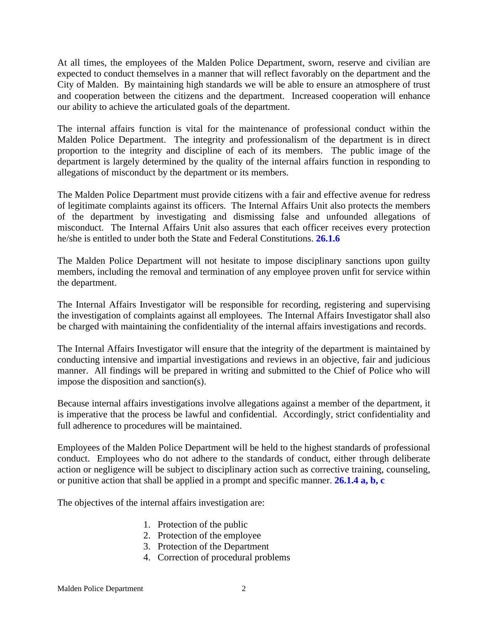At all times, the employees of the Malden Police Department, sworn, reserve and civilian are expected to conduct themselves in a manner that will reflect favorably on the department and the City of Malden. By maintaining high standards we will be able to ensure an atmosphere of trust and cooperation between the citizens and the department. Increased cooperation will enhance our ability to achieve the articulated goals of the department.

The internal affairs function is vital for the maintenance of professional conduct within the Malden Police Department. The integrity and professionalism of the department is in direct proportion to the integrity and discipline of each of its members. The public image of the department is largely determined by the quality of the internal affairs function in responding to allegations of misconduct by the department or its members.

The Malden Police Department must provide citizens with a fair and effective avenue for redress of legitimate complaints against its officers. The Internal Affairs Unit also protects the members of the department by investigating and dismissing false and unfounded allegations of misconduct. The Internal Affairs Unit also assures that each officer receives every protection he/she is entitled to under both the State and Federal Constitutions. **26.1.6**

The Malden Police Department will not hesitate to impose disciplinary sanctions upon guilty members, including the removal and termination of any employee proven unfit for service within the department.

The Internal Affairs Investigator will be responsible for recording, registering and supervising the investigation of complaints against all employees. The Internal Affairs Investigator shall also be charged with maintaining the confidentiality of the internal affairs investigations and records.

The Internal Affairs Investigator will ensure that the integrity of the department is maintained by conducting intensive and impartial investigations and reviews in an objective, fair and judicious manner. All findings will be prepared in writing and submitted to the Chief of Police who will impose the disposition and sanction(s).

Because internal affairs investigations involve allegations against a member of the department, it is imperative that the process be lawful and confidential. Accordingly, strict confidentiality and full adherence to procedures will be maintained.

Employees of the Malden Police Department will be held to the highest standards of professional conduct. Employees who do not adhere to the standards of conduct, either through deliberate action or negligence will be subject to disciplinary action such as corrective training, counseling, or punitive action that shall be applied in a prompt and specific manner. **26.1.4 a, b, c**

The objectives of the internal affairs investigation are:

- 1. Protection of the public
- 2. Protection of the employee
- 3. Protection of the Department
- 4. Correction of procedural problems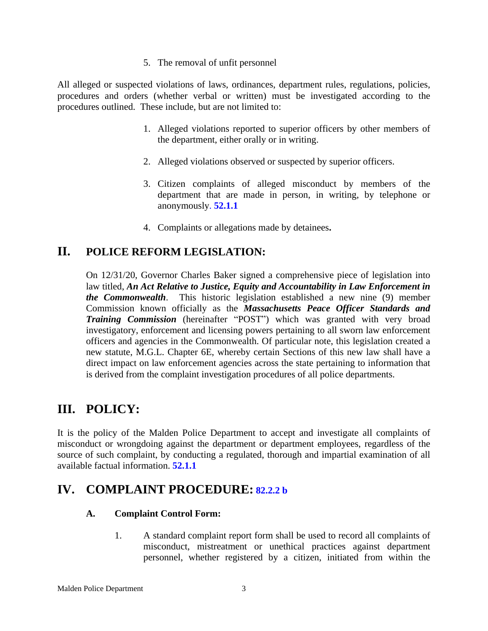5. The removal of unfit personnel

All alleged or suspected violations of laws, ordinances, department rules, regulations, policies, procedures and orders (whether verbal or written) must be investigated according to the procedures outlined. These include, but are not limited to:

- 1. Alleged violations reported to superior officers by other members of the department, either orally or in writing.
- 2. Alleged violations observed or suspected by superior officers.
- 3. Citizen complaints of alleged misconduct by members of the department that are made in person, in writing, by telephone or anonymously. **52.1.1**
- 4. Complaints or allegations made by detainees**.**

### **II. POLICE REFORM LEGISLATION:**

On 12/31/20, Governor Charles Baker signed a comprehensive piece of legislation into law titled, *An Act Relative to Justice, Equity and Accountability in Law Enforcement in the Commonwealth*. This historic legislation established a new nine (9) member Commission known officially as the *Massachusetts Peace Officer Standards and Training Commission* (hereinafter "POST") which was granted with very broad investigatory, enforcement and licensing powers pertaining to all sworn law enforcement officers and agencies in the Commonwealth. Of particular note, this legislation created a new statute, M.G.L. Chapter 6E, whereby certain Sections of this new law shall have a direct impact on law enforcement agencies across the state pertaining to information that is derived from the complaint investigation procedures of all police departments.

### **III. POLICY:**

It is the policy of the Malden Police Department to accept and investigate all complaints of misconduct or wrongdoing against the department or department employees, regardless of the source of such complaint, by conducting a regulated, thorough and impartial examination of all available factual information. **52.1.1**

### **IV. COMPLAINT PROCEDURE: 82.2.2 b**

#### **A. Complaint Control Form:**

1. A standard complaint report form shall be used to record all complaints of misconduct, mistreatment or unethical practices against department personnel, whether registered by a citizen, initiated from within the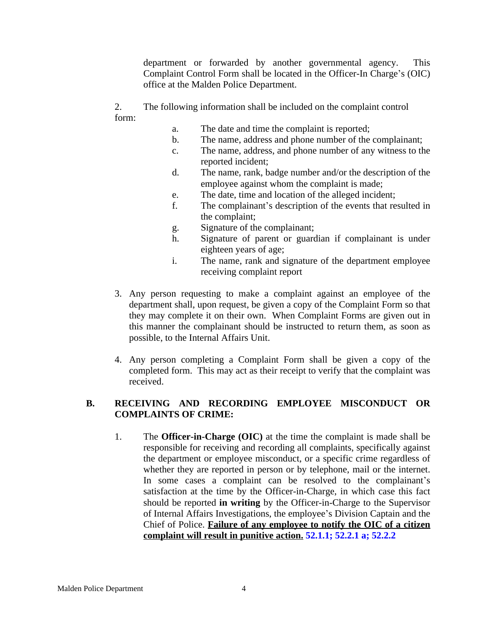department or forwarded by another governmental agency. This Complaint Control Form shall be located in the Officer-In Charge's (OIC) office at the Malden Police Department.

2. The following information shall be included on the complaint control form:

- a. The date and time the complaint is reported;
- b. The name, address and phone number of the complainant;
- c. The name, address, and phone number of any witness to the reported incident;
- d. The name, rank, badge number and/or the description of the employee against whom the complaint is made;
- e. The date, time and location of the alleged incident;
- f. The complainant's description of the events that resulted in the complaint;
- g. Signature of the complainant;
- h. Signature of parent or guardian if complainant is under eighteen years of age;
- i. The name, rank and signature of the department employee receiving complaint report
- 3. Any person requesting to make a complaint against an employee of the department shall, upon request, be given a copy of the Complaint Form so that they may complete it on their own. When Complaint Forms are given out in this manner the complainant should be instructed to return them, as soon as possible, to the Internal Affairs Unit.
- 4. Any person completing a Complaint Form shall be given a copy of the completed form. This may act as their receipt to verify that the complaint was received.

#### **B. RECEIVING AND RECORDING EMPLOYEE MISCONDUCT OR COMPLAINTS OF CRIME:**

1. The **Officer-in-Charge (OIC)** at the time the complaint is made shall be responsible for receiving and recording all complaints, specifically against the department or employee misconduct, or a specific crime regardless of whether they are reported in person or by telephone, mail or the internet. In some cases a complaint can be resolved to the complainant's satisfaction at the time by the Officer-in-Charge, in which case this fact should be reported **in writing** by the Officer-in-Charge to the Supervisor of Internal Affairs Investigations, the employee's Division Captain and the Chief of Police. **Failure of any employee to notify the OIC of a citizen complaint will result in punitive action. 52.1.1; 52.2.1 a; 52.2.2**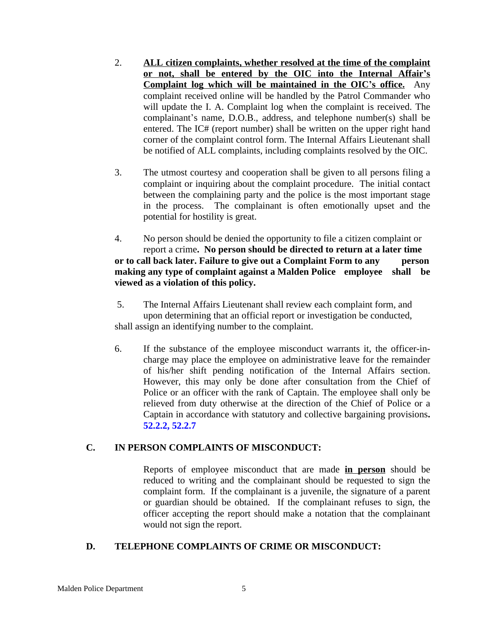- 2. **ALL citizen complaints, whether resolved at the time of the complaint or not, shall be entered by the OIC into the Internal Affair's Complaint log which will be maintained in the OIC's office.** Any complaint received online will be handled by the Patrol Commander who will update the I. A. Complaint log when the complaint is received. The complainant's name, D.O.B., address, and telephone number(s) shall be entered. The IC# (report number) shall be written on the upper right hand corner of the complaint control form. The Internal Affairs Lieutenant shall be notified of ALL complaints, including complaints resolved by the OIC.
- 3. The utmost courtesy and cooperation shall be given to all persons filing a complaint or inquiring about the complaint procedure. The initial contact between the complaining party and the police is the most important stage in the process. The complainant is often emotionally upset and the potential for hostility is great.
- 4. No person should be denied the opportunity to file a citizen complaint or report a crime**. No person should be directed to return at a later time or to call back later. Failure to give out a Complaint Form to any person making any type of complaint against a Malden Police employee shall be viewed as a violation of this policy.**
- 5. The Internal Affairs Lieutenant shall review each complaint form, and upon determining that an official report or investigation be conducted, shall assign an identifying number to the complaint.
- 6. If the substance of the employee misconduct warrants it, the officer-incharge may place the employee on administrative leave for the remainder of his/her shift pending notification of the Internal Affairs section. However, this may only be done after consultation from the Chief of Police or an officer with the rank of Captain. The employee shall only be relieved from duty otherwise at the direction of the Chief of Police or a Captain in accordance with statutory and collective bargaining provisions**. 52.2.2, 52.2.7**

#### **C. IN PERSON COMPLAINTS OF MISCONDUCT:**

Reports of employee misconduct that are made **in person** should be reduced to writing and the complainant should be requested to sign the complaint form. If the complainant is a juvenile, the signature of a parent or guardian should be obtained. If the complainant refuses to sign, the officer accepting the report should make a notation that the complainant would not sign the report.

#### **D. TELEPHONE COMPLAINTS OF CRIME OR MISCONDUCT:**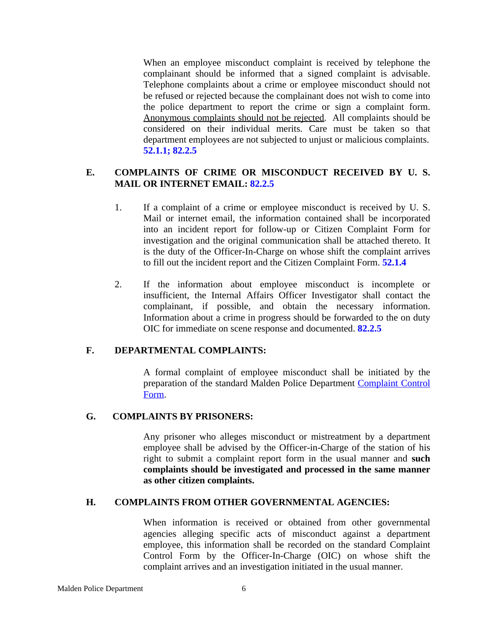When an employee misconduct complaint is received by telephone the complainant should be informed that a signed complaint is advisable. Telephone complaints about a crime or employee misconduct should not be refused or rejected because the complainant does not wish to come into the police department to report the crime or sign a complaint form. Anonymous complaints should not be rejected. All complaints should be considered on their individual merits. Care must be taken so that department employees are not subjected to unjust or malicious complaints. **52.1.1; 82.2.5**

#### **E. COMPLAINTS OF CRIME OR MISCONDUCT RECEIVED BY U. S. MAIL OR INTERNET EMAIL: 82.2.5**

- 1. If a complaint of a crime or employee misconduct is received by U. S. Mail or internet email, the information contained shall be incorporated into an incident report for follow-up or Citizen Complaint Form for investigation and the original communication shall be attached thereto. It is the duty of the Officer-In-Charge on whose shift the complaint arrives to fill out the incident report and the Citizen Complaint Form. **52.1.4**
- 2. If the information about employee misconduct is incomplete or insufficient, the Internal Affairs Officer Investigator shall contact the complainant, if possible, and obtain the necessary information. Information about a crime in progress should be forwarded to the on duty OIC for immediate on scene response and documented. **82.2.5**

#### **F. DEPARTMENTAL COMPLAINTS:**

A formal complaint of employee misconduct shall be initiated by the preparation of the standard Malden Police Department [Complaint Control](file:///E:\\Forms\\Citizens%20Complaint%20Form.doc) Form.

#### **G. COMPLAINTS BY PRISONERS:**

Any prisoner who alleges misconduct or mistreatment by a department employee shall be advised by the Officer-in-Charge of the station of his right to submit a complaint report form in the usual manner and **such complaints should be investigated and processed in the same manner as other citizen complaints.**

#### **H. COMPLAINTS FROM OTHER GOVERNMENTAL AGENCIES:**

When information is received or obtained from other governmental agencies alleging specific acts of misconduct against a department employee, this information shall be recorded on the standard Complaint Control Form by the Officer-In-Charge (OIC) on whose shift the complaint arrives and an investigation initiated in the usual manner.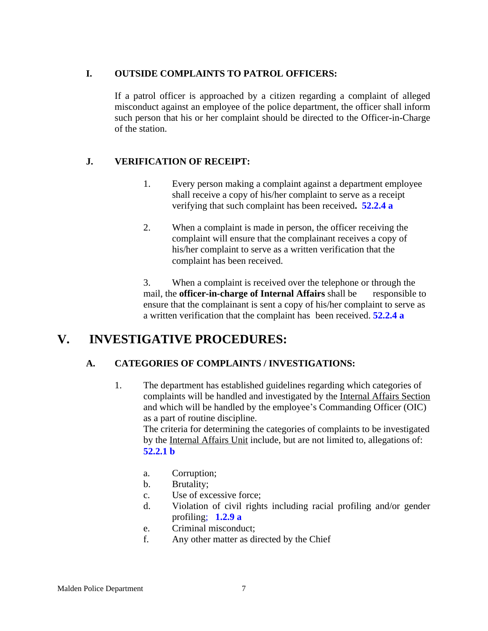#### **I. OUTSIDE COMPLAINTS TO PATROL OFFICERS:**

If a patrol officer is approached by a citizen regarding a complaint of alleged misconduct against an employee of the police department, the officer shall inform such person that his or her complaint should be directed to the Officer-in-Charge of the station.

### **J. VERIFICATION OF RECEIPT:**

- 1. Every person making a complaint against a department employee shall receive a copy of his/her complaint to serve as a receipt verifying that such complaint has been received**. 52.2.4 a**
- 2. When a complaint is made in person, the officer receiving the complaint will ensure that the complainant receives a copy of his/her complaint to serve as a written verification that the complaint has been received.

 3. When a complaint is received over the telephone or through the mail, the **officer-in-charge of Internal Affairs** shall be responsible to ensure that the complainant is sent a copy of his/her complaint to serve as a written verification that the complaint has been received. **52.2.4 a**

### **V. INVESTIGATIVE PROCEDURES:**

### **A. CATEGORIES OF COMPLAINTS / INVESTIGATIONS:**

1. The department has established guidelines regarding which categories of complaints will be handled and investigated by the Internal Affairs Section and which will be handled by the employee's Commanding Officer (OIC) as a part of routine discipline. The criteria for determining the categories of complaints to be investigated by the Internal Affairs Unit include, but are not limited to, allegations of:

**52.2.1 b**

- a. Corruption;
- b. Brutality;
- c. Use of excessive force;
- d. Violation of civil rights including racial profiling and/or gender profiling; **1.2.9 a**
- e. Criminal misconduct;
- f. Any other matter as directed by the Chief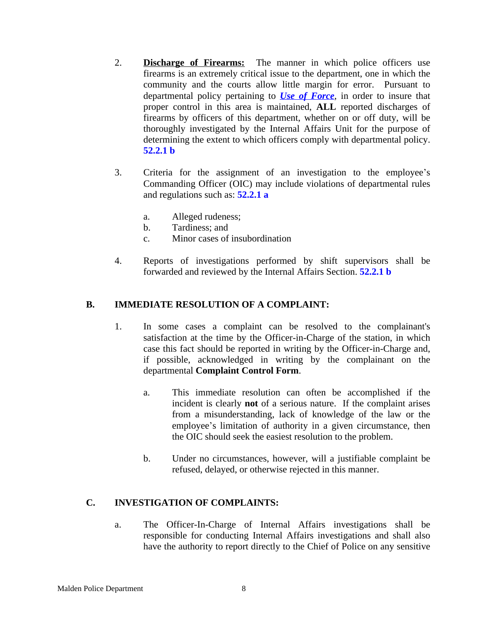- 2. **Discharge of Firearms:** The manner in which police officers use firearms is an extremely critical issue to the department, one in which the community and the courts allow little margin for error. Pursuant to departmental policy pertaining to *[Use of Force](file:///E:\\1%20Operations\\1.01%20Use%20of%20Force%20Policy.doc)*, in order to insure that proper control in this area is maintained, **ALL** reported discharges of firearms by officers of this department, whether on or off duty, will be thoroughly investigated by the Internal Affairs Unit for the purpose of determining the extent to which officers comply with departmental policy. **52.2.1 b**
- 3. Criteria for the assignment of an investigation to the employee's Commanding Officer (OIC) may include violations of departmental rules and regulations such as: **52.2.1 a**
	- a. Alleged rudeness;
	- b. Tardiness; and
	- c. Minor cases of insubordination
- 4. Reports of investigations performed by shift supervisors shall be forwarded and reviewed by the Internal Affairs Section. **52.2.1 b**

#### **B. IMMEDIATE RESOLUTION OF A COMPLAINT:**

- 1. In some cases a complaint can be resolved to the complainant's satisfaction at the time by the Officer-in-Charge of the station, in which case this fact should be reported in writing by the Officer-in-Charge and, if possible, acknowledged in writing by the complainant on the departmental **Complaint Control Form**.
	- a. This immediate resolution can often be accomplished if the incident is clearly **not** of a serious nature. If the complaint arises from a misunderstanding, lack of knowledge of the law or the employee's limitation of authority in a given circumstance, then the OIC should seek the easiest resolution to the problem.
	- b. Under no circumstances, however, will a justifiable complaint be refused, delayed, or otherwise rejected in this manner.

#### **C. INVESTIGATION OF COMPLAINTS:**

a. The Officer-In-Charge of Internal Affairs investigations shall be responsible for conducting Internal Affairs investigations and shall also have the authority to report directly to the Chief of Police on any sensitive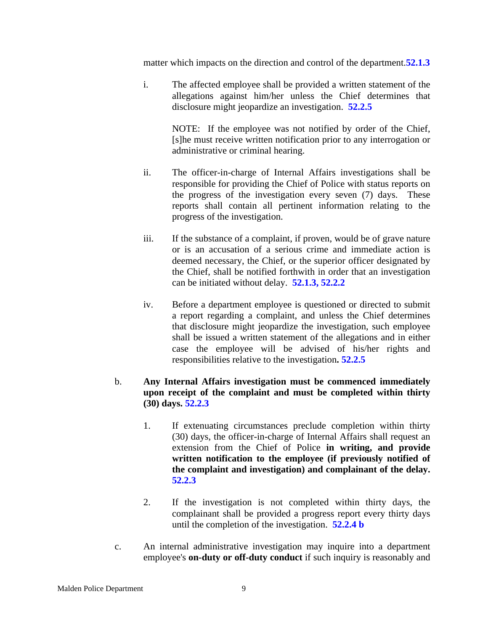matter which impacts on the direction and control of the department.**52.1.3**

i. The affected employee shall be provided a written statement of the allegations against him/her unless the Chief determines that disclosure might jeopardize an investigation. **52.2.5**

> NOTE: If the employee was not notified by order of the Chief, [s]he must receive written notification prior to any interrogation or administrative or criminal hearing.

- ii. The officer-in-charge of Internal Affairs investigations shall be responsible for providing the Chief of Police with status reports on the progress of the investigation every seven (7) days. These reports shall contain all pertinent information relating to the progress of the investigation.
- iii. If the substance of a complaint, if proven, would be of grave nature or is an accusation of a serious crime and immediate action is deemed necessary, the Chief, or the superior officer designated by the Chief, shall be notified forthwith in order that an investigation can be initiated without delay. **52.1.3, 52.2.2**
- iv. Before a department employee is questioned or directed to submit a report regarding a complaint, and unless the Chief determines that disclosure might jeopardize the investigation, such employee shall be issued a written statement of the allegations and in either case the employee will be advised of his/her rights and responsibilities relative to the investigation**. 52.2.5**
- b. **Any Internal Affairs investigation must be commenced immediately upon receipt of the complaint and must be completed within thirty (30) days. 52.2.3**
	- 1. If extenuating circumstances preclude completion within thirty (30) days, the officer-in-charge of Internal Affairs shall request an extension from the Chief of Police **in writing, and provide written notification to the employee (if previously notified of the complaint and investigation) and complainant of the delay. 52.2.3**
	- 2. If the investigation is not completed within thirty days, the complainant shall be provided a progress report every thirty days until the completion of the investigation. **52.2.4 b**
- c. An internal administrative investigation may inquire into a department employee's **on-duty or off-duty conduct** if such inquiry is reasonably and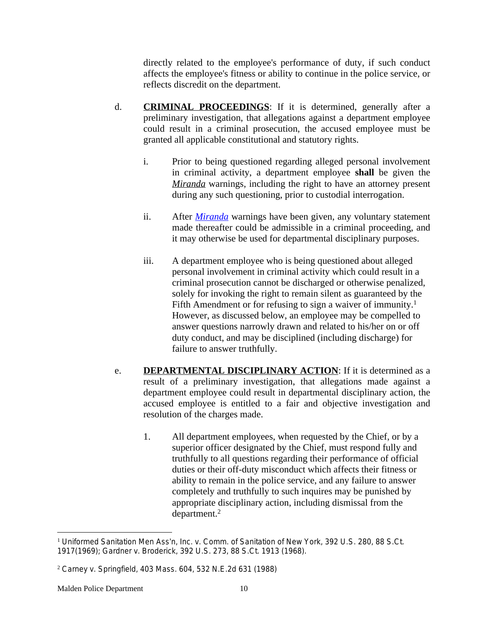directly related to the employee's performance of duty, if such conduct affects the employee's fitness or ability to continue in the police service, or reflects discredit on the department.

- d. **CRIMINAL PROCEEDINGS**: If it is determined, generally after a preliminary investigation, that allegations against a department employee could result in a criminal prosecution, the accused employee must be granted all applicable constitutional and statutory rights.
	- i. Prior to being questioned regarding alleged personal involvement in criminal activity, a department employee **shall** be given the *Miranda* warnings, including the right to have an attorney present during any such questioning, prior to custodial interrogation.
	- ii. After *[Miranda](file:///E:\\Forms\\MIRANDA.doc)* warnings have been given, any voluntary statement made thereafter could be admissible in a criminal proceeding, and it may otherwise be used for departmental disciplinary purposes.
	- iii. A department employee who is being questioned about alleged personal involvement in criminal activity which could result in a criminal prosecution cannot be discharged or otherwise penalized, solely for invoking the right to remain silent as guaranteed by the Fifth Amendment or for refusing to sign a waiver of immunity.<sup>1</sup> However, as discussed below, an employee may be compelled to answer questions narrowly drawn and related to his/her on or off duty conduct, and may be disciplined (including discharge) for failure to answer truthfully.
- e. **DEPARTMENTAL DISCIPLINARY ACTION**: If it is determined as a result of a preliminary investigation, that allegations made against a department employee could result in departmental disciplinary action, the accused employee is entitled to a fair and objective investigation and resolution of the charges made.
	- 1. All department employees, when requested by the Chief, or by a superior officer designated by the Chief, must respond fully and truthfully to all questions regarding their performance of official duties or their off-duty misconduct which affects their fitness or ability to remain in the police service, and any failure to answer completely and truthfully to such inquires may be punished by appropriate disciplinary action, including dismissal from the department.2

<sup>1</sup> *Uniformed Sanitation Men Ass*'*n, Inc. v. Comm. of Sanitation of New York*, 392 U.S. 280, 88 S.Ct. 1917(1969); *Gardner v. Broderick*, 392 U.S. 273, 88 S.Ct. 1913 (1968).

<sup>2</sup> *Carney v. Springfield*, 403 Mass. 604, 532 N.E.2d 631 (1988)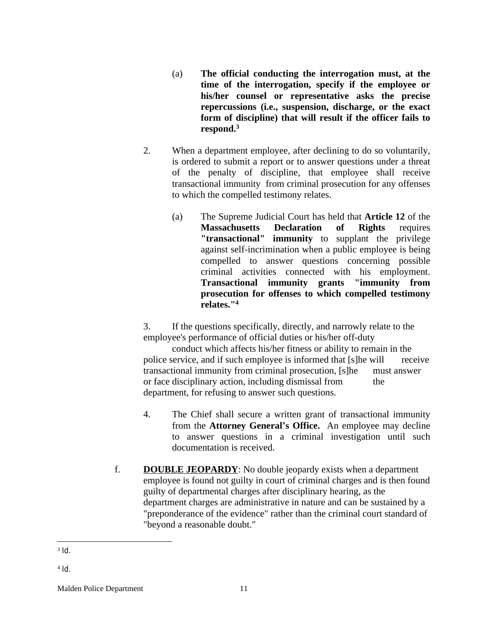- (a) **The official conducting the interrogation must, at the time of the interrogation, specify if the employee or his/her counsel or representative asks the precise repercussions (i.e., suspension, discharge, or the exact form of discipline) that will result if the officer fails to respond.<sup>3</sup>**
- 2. When a department employee, after declining to do so voluntarily, is ordered to submit a report or to answer questions under a threat of the penalty of discipline, that employee shall receive transactional immunity from criminal prosecution for any offenses to which the compelled testimony relates.
	- (a) The Supreme Judicial Court has held that **Article 12** of the **Massachusetts Declaration of Rights** requires **"transactional" immunity** to supplant the privilege against self-incrimination when a public employee is being compelled to answer questions concerning possible criminal activities connected with his employment. **Transactional immunity grants "immunity from prosecution for offenses to which compelled testimony relates."<sup>4</sup>**

3. If the questions specifically, directly, and narrowly relate to the employee's performance of official duties or his/her off-duty

conduct which affects his/her fitness or ability to remain in the police service, and if such employee is informed that [s]he will receive transactional immunity from criminal prosecution, [s]he must answer or face disciplinary action, including dismissal from the department, for refusing to answer such questions.

- 4. The Chief shall secure a written grant of transactional immunity from the **Attorney General's Office.** An employee may decline to answer questions in a criminal investigation until such documentation is received.
- f. **DOUBLE JEOPARDY**: No double jeopardy exists when a department employee is found not guilty in court of criminal charges and is then found guilty of departmental charges after disciplinary hearing, as the department charges are administrative in nature and can be sustained by a "preponderance of the evidence" rather than the criminal court standard of "beyond a reasonable doubt."

 $3$   $\mathsf{Id}$ .

<sup>4</sup> Id.

Malden Police Department 11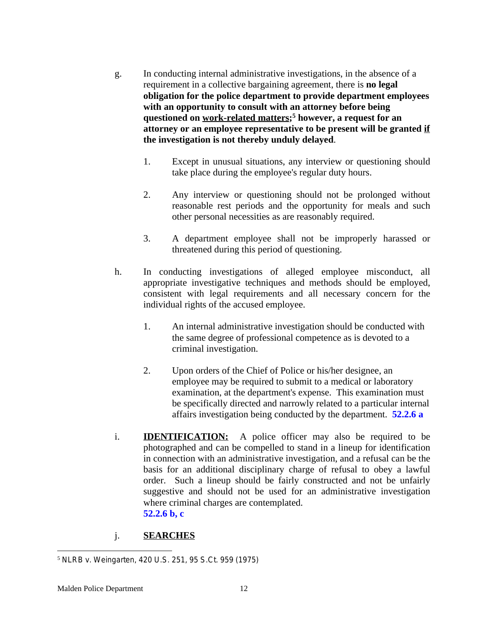- g. In conducting internal administrative investigations, in the absence of a requirement in a collective bargaining agreement, there is **no legal obligation for the police department to provide department employees with an opportunity to consult with an attorney before being questioned on work-related matters; <sup>5</sup> however, a request for an attorney or an employee representative to be present will be granted if the investigation is not thereby unduly delayed**.
	- 1. Except in unusual situations, any interview or questioning should take place during the employee's regular duty hours.
	- 2. Any interview or questioning should not be prolonged without reasonable rest periods and the opportunity for meals and such other personal necessities as are reasonably required.
	- 3. A department employee shall not be improperly harassed or threatened during this period of questioning.
- h. In conducting investigations of alleged employee misconduct, all appropriate investigative techniques and methods should be employed, consistent with legal requirements and all necessary concern for the individual rights of the accused employee.
	- 1. An internal administrative investigation should be conducted with the same degree of professional competence as is devoted to a criminal investigation.
	- 2. Upon orders of the Chief of Police or his/her designee, an employee may be required to submit to a medical or laboratory examination, at the department's expense. This examination must be specifically directed and narrowly related to a particular internal affairs investigation being conducted by the department. **52.2.6 a**
- i. **IDENTIFICATION:** A police officer may also be required to be photographed and can be compelled to stand in a lineup for identification in connection with an administrative investigation, and a refusal can be the basis for an additional disciplinary charge of refusal to obey a lawful order. Such a lineup should be fairly constructed and not be unfairly suggestive and should not be used for an administrative investigation where criminal charges are contemplated. **52.2.6 b, c**
- j. **SEARCHES**

<sup>5</sup> *NLRB v. Weingarten*, 420 U.S. 251, 95 S.Ct. 959 (1975)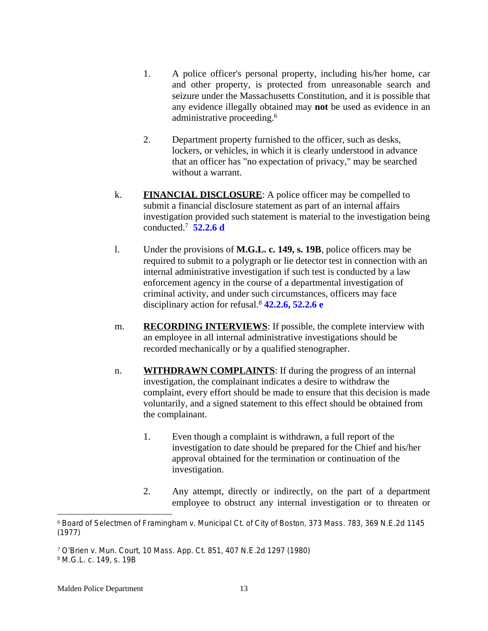- 1. A police officer's personal property, including his/her home, car and other property, is protected from unreasonable search and seizure under the Massachusetts Constitution, and it is possible that any evidence illegally obtained may **not** be used as evidence in an administrative proceeding.<sup>6</sup>
- 2. Department property furnished to the officer, such as desks, lockers, or vehicles, in which it is clearly understood in advance that an officer has "no expectation of privacy," may be searched without a warrant.
- k. **FINANCIAL DISCLOSURE**: A police officer may be compelled to submit a financial disclosure statement as part of an internal affairs investigation provided such statement is material to the investigation being conducted.<sup>7</sup> **52.2.6 d**
- l. Under the provisions of **M.G.L. c. 149, s. 19B**, police officers may be required to submit to a polygraph or lie detector test in connection with an internal administrative investigation if such test is conducted by a law enforcement agency in the course of a departmental investigation of criminal activity, and under such circumstances, officers may face disciplinary action for refusal.<sup>8</sup> **42.2.6, 52.2.6 e**
- m. **RECORDING INTERVIEWS**: If possible, the complete interview with an employee in all internal administrative investigations should be recorded mechanically or by a qualified stenographer.
- n. **WITHDRAWN COMPLAINTS**: If during the progress of an internal investigation, the complainant indicates a desire to withdraw the complaint, every effort should be made to ensure that this decision is made voluntarily, and a signed statement to this effect should be obtained from the complainant.
	- 1. Even though a complaint is withdrawn, a full report of the investigation to date should be prepared for the Chief and his/her approval obtained for the termination or continuation of the investigation.
	- 2. Any attempt, directly or indirectly, on the part of a department employee to obstruct any internal investigation or to threaten or

<sup>6</sup> *Board of Selectmen of Framingham v. Municipal Ct. of City of Boston*, 373 Mass. 783, 369 N.E.2d 1145 (1977)

<sup>7</sup> *O*'*Brien v. Mun. Court*, 10 Mass. App. Ct. 851, 407 N.E.2d 1297 (1980) <sup>8</sup> M.G.L. c. 149, s. 19B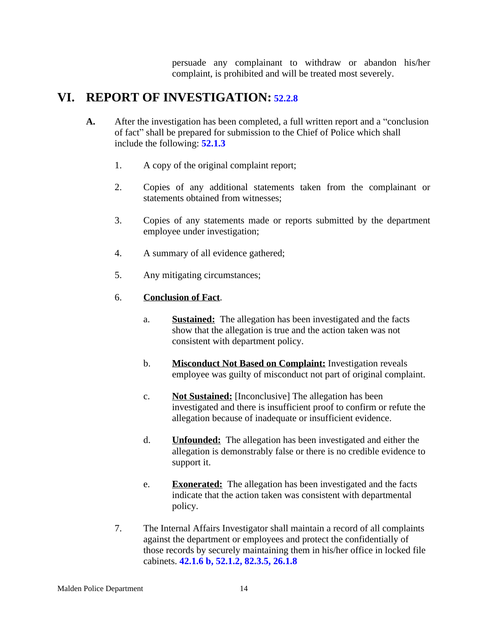persuade any complainant to withdraw or abandon his/her complaint, is prohibited and will be treated most severely.

### **VI. REPORT OF INVESTIGATION: 52.2.8**

- **A.** After the investigation has been completed, a full written report and a "conclusion of fact" shall be prepared for submission to the Chief of Police which shall include the following: **52.1.3**
	- 1. A copy of the original complaint report;
	- 2. Copies of any additional statements taken from the complainant or statements obtained from witnesses;
	- 3. Copies of any statements made or reports submitted by the department employee under investigation;
	- 4. A summary of all evidence gathered;
	- 5. Any mitigating circumstances;

#### 6. **Conclusion of Fact**.

- a. **Sustained:** The allegation has been investigated and the facts show that the allegation is true and the action taken was not consistent with department policy.
- b. **Misconduct Not Based on Complaint:** Investigation reveals employee was guilty of misconduct not part of original complaint.
- c. **Not Sustained:** [Inconclusive] The allegation has been investigated and there is insufficient proof to confirm or refute the allegation because of inadequate or insufficient evidence.
- d. **Unfounded:** The allegation has been investigated and either the allegation is demonstrably false or there is no credible evidence to support it.
- e. **Exonerated:** The allegation has been investigated and the facts indicate that the action taken was consistent with departmental policy.
- 7. The Internal Affairs Investigator shall maintain a record of all complaints against the department or employees and protect the confidentially of those records by securely maintaining them in his/her office in locked file cabinets. **42.1.6 b, 52.1.2, 82.3.5, 26.1.8**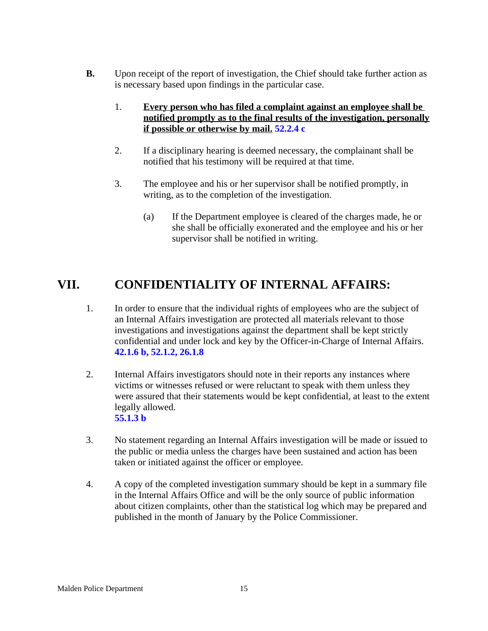- **B.** Upon receipt of the report of investigation, the Chief should take further action as is necessary based upon findings in the particular case.
	- 1. **Every person who has filed a complaint against an employee shall be notified promptly as to the final results of the investigation, personally if possible or otherwise by mail. 52.2.4 c**
	- 2. If a disciplinary hearing is deemed necessary, the complainant shall be notified that his testimony will be required at that time.
	- 3. The employee and his or her supervisor shall be notified promptly, in writing, as to the completion of the investigation.
		- (a) If the Department employee is cleared of the charges made, he or she shall be officially exonerated and the employee and his or her supervisor shall be notified in writing.

### **VII. CONFIDENTIALITY OF INTERNAL AFFAIRS:**

- 1. In order to ensure that the individual rights of employees who are the subject of an Internal Affairs investigation are protected all materials relevant to those investigations and investigations against the department shall be kept strictly confidential and under lock and key by the Officer-in-Charge of Internal Affairs. **42.1.6 b, 52.1.2, 26.1.8**
- 2. Internal Affairs investigators should note in their reports any instances where victims or witnesses refused or were reluctant to speak with them unless they were assured that their statements would be kept confidential, at least to the extent legally allowed. **55.1.3 b**
- 3. No statement regarding an Internal Affairs investigation will be made or issued to the public or media unless the charges have been sustained and action has been taken or initiated against the officer or employee.
- 4. A copy of the completed investigation summary should be kept in a summary file in the Internal Affairs Office and will be the only source of public information about citizen complaints, other than the statistical log which may be prepared and published in the month of January by the Police Commissioner.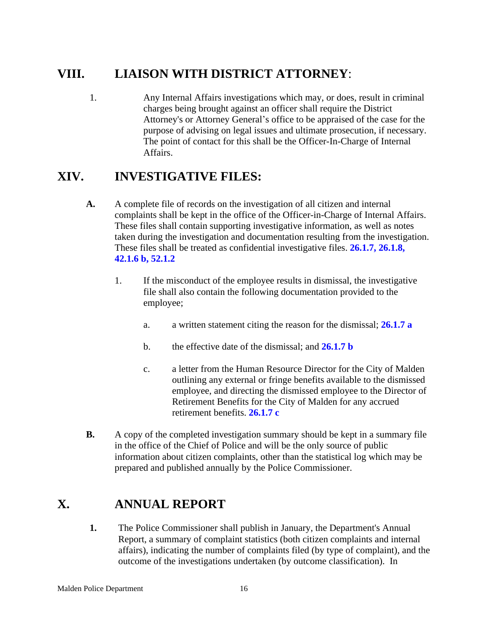# **VIII. LIAISON WITH DISTRICT ATTORNEY**:

1. Any Internal Affairs investigations which may, or does, result in criminal charges being brought against an officer shall require the District Attorney's or Attorney General's office to be appraised of the case for the purpose of advising on legal issues and ultimate prosecution, if necessary. The point of contact for this shall be the Officer-In-Charge of Internal Affairs.

# **XIV. INVESTIGATIVE FILES:**

- **A.** A complete file of records on the investigation of all citizen and internal complaints shall be kept in the office of the Officer-in-Charge of Internal Affairs. These files shall contain supporting investigative information, as well as notes taken during the investigation and documentation resulting from the investigation. These files shall be treated as confidential investigative files. **26.1.7, 26.1.8, 42.1.6 b, 52.1.2**
	- 1. If the misconduct of the employee results in dismissal, the investigative file shall also contain the following documentation provided to the employee;
		- a. a written statement citing the reason for the dismissal; **26.1.7 a**
		- b. the effective date of the dismissal; and **26.1.7 b**
		- c. a letter from the Human Resource Director for the City of Malden outlining any external or fringe benefits available to the dismissed employee, and directing the dismissed employee to the Director of Retirement Benefits for the City of Malden for any accrued retirement benefits. **26.1.7 c**
- **B.** A copy of the completed investigation summary should be kept in a summary file in the office of the Chief of Police and will be the only source of public information about citizen complaints, other than the statistical log which may be prepared and published annually by the Police Commissioner.

# **X. ANNUAL REPORT**

**1.** The Police Commissioner shall publish in January, the Department's Annual Report, a summary of complaint statistics (both citizen complaints and internal affairs), indicating the number of complaints filed (by type of complaint), and the outcome of the investigations undertaken (by outcome classification). In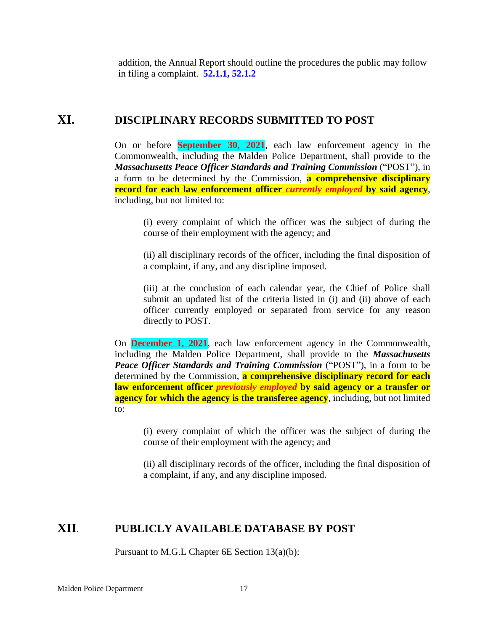addition, the Annual Report should outline the procedures the public may follow in filing a complaint. **52.1.1, 52.1.2**

### **XI. DISCIPLINARY RECORDS SUBMITTED TO POST**

On or before **September 30, 2021**, each law enforcement agency in the Commonwealth, including the Malden Police Department, shall provide to the *Massachusetts Peace Officer Standards and Training Commission* ("POST"), in a form to be determined by the Commission, **a comprehensive disciplinary record for each law enforcement officer** *currently employed* **by said agency**, including, but not limited to:

(i) every complaint of which the officer was the subject of during the course of their employment with the agency; and

(ii) all disciplinary records of the officer, including the final disposition of a complaint, if any, and any discipline imposed.

(iii) at the conclusion of each calendar year, the Chief of Police shall submit an updated list of the criteria listed in (i) and (ii) above of each officer currently employed or separated from service for any reason directly to POST.

On **December 1, 2021**, each law enforcement agency in the Commonwealth, including the Malden Police Department, shall provide to the *Massachusetts Peace Officer Standards and Training Commission* ("POST"), in a form to be determined by the Commission, **a comprehensive disciplinary record for each law enforcement officer** *previously employed* **by said agency or a transfer or agency for which the agency is the transferee agency**, including, but not limited to:

(i) every complaint of which the officer was the subject of during the course of their employment with the agency; and

(ii) all disciplinary records of the officer, including the final disposition of a complaint, if any, and any discipline imposed.

### **XII**. **PUBLICLY AVAILABLE DATABASE BY POST**

Pursuant to M.G.L Chapter 6E Section 13(a)(b):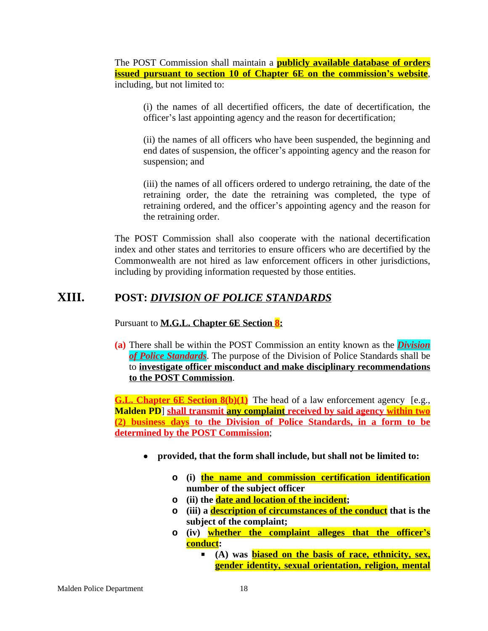The POST Commission shall maintain a **publicly available database of orders issued pursuant to section 10 of Chapter 6E on the commission's website**, including, but not limited to:

(i) the names of all decertified officers, the date of decertification, the officer's last appointing agency and the reason for decertification;

(ii) the names of all officers who have been suspended, the beginning and end dates of suspension, the officer's appointing agency and the reason for suspension; and

(iii) the names of all officers ordered to undergo retraining, the date of the retraining order, the date the retraining was completed, the type of retraining ordered, and the officer's appointing agency and the reason for the retraining order.

The POST Commission shall also cooperate with the national decertification index and other states and territories to ensure officers who are decertified by the Commonwealth are not hired as law enforcement officers in other jurisdictions, including by providing information requested by those entities.

### **XIII. POST:** *DIVISION OF POLICE STANDARDS*

Pursuant to **M.G.L. Chapter 6E Section 8:**

**(a)** There shall be within the POST Commission an entity known as the *Division of Police Standards*. The purpose of the Division of Police Standards shall be to **investigate officer misconduct and make disciplinary recommendations to the POST Commission**.

**G.L. Chapter 6E Section 8(b)(1)** The head of a law enforcement agency [e.g., **Malden PD**] **shall transmit any complaint received by said agency within two (2) business days to the Division of Police Standards, in a form to be determined by the POST Commission**;

- **provided, that the form shall include, but shall not be limited to:**
	- **o (i) the name and commission certification identification number of the subject officer**
	- **o (ii) the date and location of the incident;**
	- **o (iii) a description of circumstances of the conduct that is the subject of the complaint;**
	- **o (iv) whether the complaint alleges that the officer's conduct:**
		- **(A) was biased on the basis of race, ethnicity, sex, gender identity, sexual orientation, religion, mental**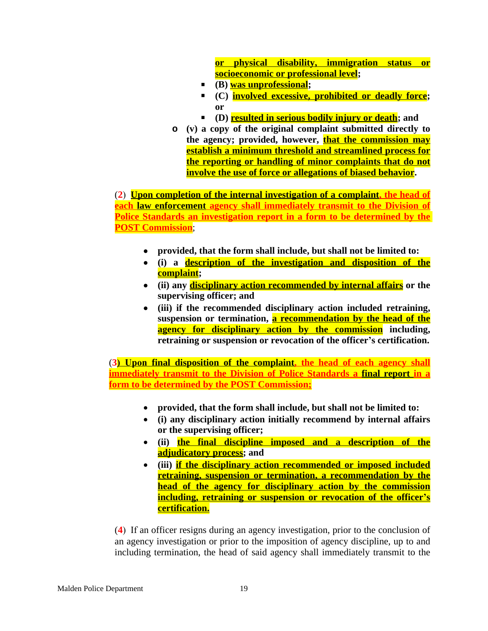**or physical disability, immigration status or socioeconomic or professional level;**

- **(B) was unprofessional;**
- **(C) involved excessive, prohibited or deadly force; or**
- **(D) resulted in serious bodily injury or death; and**
- **o (v) a copy of the original complaint submitted directly to the agency; provided, however, that the commission may establish a minimum threshold and streamlined process for the reporting or handling of minor complaints that do not involve the use of force or allegations of biased behavior.**

(**2**) **Upon completion of the internal investigation of a complaint, the head of each law enforcement agency shall immediately transmit to the Division of Police Standards an investigation report in a form to be determined by the POST Commission**;

- **provided, that the form shall include, but shall not be limited to:**
- **(i) a description of the investigation and disposition of the complaint;**
- **(ii) any disciplinary action recommended by internal affairs or the supervising officer; and**
- **(iii) if the recommended disciplinary action included retraining, suspension or termination, a recommendation by the head of the agency for disciplinary action by the commission including, retraining or suspension or revocation of the officer's certification.**

(**3) Upon final disposition of the complaint, the head of each agency shall immediately transmit to the Division of Police Standards a final report in a form to be determined by the POST Commission;**

- **provided, that the form shall include, but shall not be limited to:**
- **(i) any disciplinary action initially recommend by internal affairs or the supervising officer;**
- **(ii) the final discipline imposed and a description of the adjudicatory process; and**
- **(iii) if the disciplinary action recommended or imposed included retraining, suspension or termination, a recommendation by the head of the agency for disciplinary action by the commission including, retraining or suspension or revocation of the officer's certification.**

(**4**) If an officer resigns during an agency investigation, prior to the conclusion of an agency investigation or prior to the imposition of agency discipline, up to and including termination, the head of said agency shall immediately transmit to the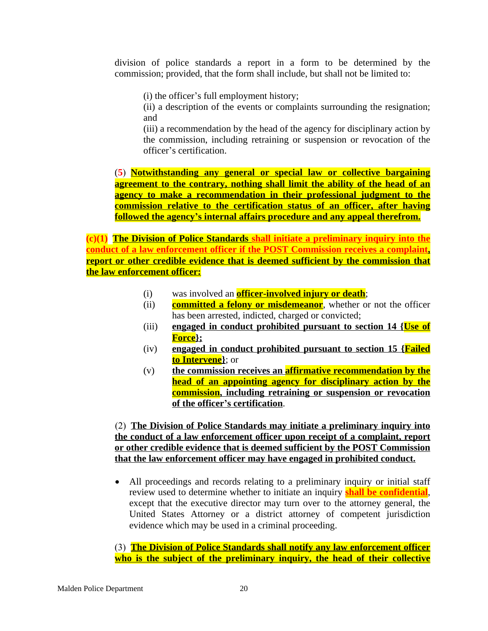division of police standards a report in a form to be determined by the commission; provided, that the form shall include, but shall not be limited to:

(i) the officer's full employment history;

(ii) a description of the events or complaints surrounding the resignation; and

(iii) a recommendation by the head of the agency for disciplinary action by the commission, including retraining or suspension or revocation of the officer's certification.

(**5**) **Notwithstanding any general or special law or collective bargaining agreement to the contrary, nothing shall limit the ability of the head of an agency to make a recommendation in their professional judgment to the commission relative to the certification status of an officer, after having followed the agency's internal affairs procedure and any appeal therefrom.**

**(c)(1) The Division of Police Standards shall initiate a preliminary inquiry into the conduct of a law enforcement officer if the POST Commission receives a complaint, report or other credible evidence that is deemed sufficient by the commission that the law enforcement officer:**

- (i) was involved an **officer-involved injury or death**;
- (ii) **committed a felony or misdemeanor**, whether or not the officer has been arrested, indicted, charged or convicted;
- (iii) **engaged in conduct prohibited pursuant to section 14 {Use of Force};**
- (iv) **engaged in conduct prohibited pursuant to section 15 {Failed to Intervene}**; or
- (v) **the commission receives an affirmative recommendation by the head of an appointing agency for disciplinary action by the commission, including retraining or suspension or revocation of the officer's certification**.

(2) **The Division of Police Standards may initiate a preliminary inquiry into the conduct of a law enforcement officer upon receipt of a complaint, report or other credible evidence that is deemed sufficient by the POST Commission that the law enforcement officer may have engaged in prohibited conduct.**

 All proceedings and records relating to a preliminary inquiry or initial staff review used to determine whether to initiate an inquiry **shall be confidential**, except that the executive director may turn over to the attorney general, the United States Attorney or a district attorney of competent jurisdiction evidence which may be used in a criminal proceeding.

(3) **The Division of Police Standards shall notify any law enforcement officer who is the subject of the preliminary inquiry, the head of their collective**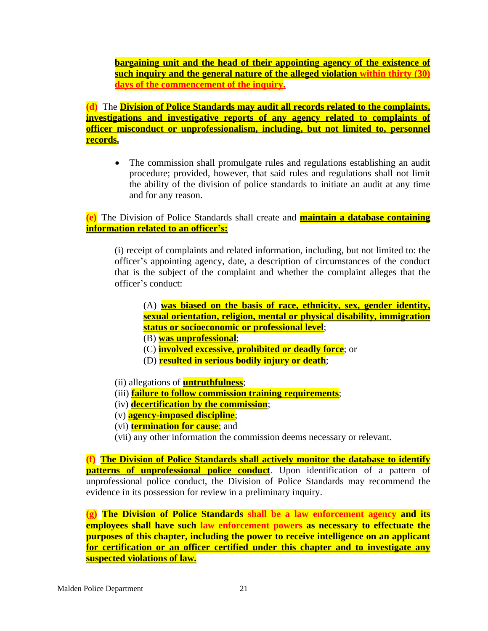**bargaining unit and the head of their appointing agency of the existence of such inquiry and the general nature of the alleged violation within thirty (30) days of the commencement of the inquiry.**

**(d)** The **Division of Police Standards may audit all records related to the complaints, investigations and investigative reports of any agency related to complaints of officer misconduct or unprofessionalism, including, but not limited to, personnel records.**

• The commission shall promulgate rules and regulations establishing an audit procedure; provided, however, that said rules and regulations shall not limit the ability of the division of police standards to initiate an audit at any time and for any reason.

**(e)** The Division of Police Standards shall create and **maintain a database containing information related to an officer's:**

(i) receipt of complaints and related information, including, but not limited to: the officer's appointing agency, date, a description of circumstances of the conduct that is the subject of the complaint and whether the complaint alleges that the officer's conduct:

(A) **was biased on the basis of race, ethnicity, sex, gender identity, sexual orientation, religion, mental or physical disability, immigration status or socioeconomic or professional level**;

(B) **was unprofessional**;

- (C) **involved excessive, prohibited or deadly force**; or
- (D) **resulted in serious bodily injury or death**;
- (ii) allegations of **untruthfulness**;
- (iii) **failure to follow commission training requirements**;
- (iv) **decertification by the commission**;
- (v) **agency-imposed discipline**;
- (vi) **termination for cause**; and
- (vii) any other information the commission deems necessary or relevant.

**(f) The Division of Police Standards shall actively monitor the database to identify patterns of unprofessional police conduct**. Upon identification of a pattern of unprofessional police conduct, the Division of Police Standards may recommend the evidence in its possession for review in a preliminary inquiry.

**(g) The Division of Police Standards shall be a law enforcement agency and its employees shall have such law enforcement powers as necessary to effectuate the purposes of this chapter, including the power to receive intelligence on an applicant for certification or an officer certified under this chapter and to investigate any suspected violations of law.**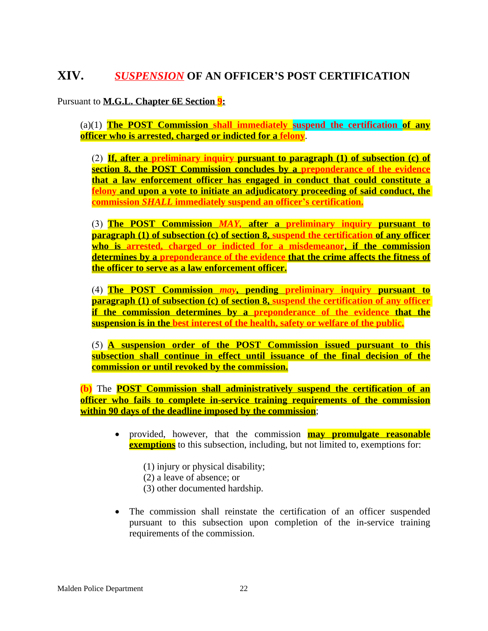### **XIV.** *SUSPENSION* **OF AN OFFICER'S POST CERTIFICATION**

Pursuant to **M.G.L. Chapter 6E Section 9:**

(a)(1) **The POST Commission shall immediately suspend the certification of any officer who is arrested, charged or indicted for a felony**.

(2) **If, after a preliminary inquiry pursuant to paragraph (1) of subsection (c) of section 8, the POST Commission concludes by a preponderance of the evidence that a law enforcement officer has engaged in conduct that could constitute a felony and upon a vote to initiate an adjudicatory proceeding of said conduct, the commission** *SHALL* **immediately suspend an officer's certification.**

(3) **The POST Commission** *MAY,* **after a preliminary inquiry pursuant to paragraph (1) of subsection (c) of section 8, suspend the certification of any officer who is arrested, charged or indicted for a misdemeanor, if the commission determines by a preponderance of the evidence that the crime affects the fitness of the officer to serve as a law enforcement officer.**

(4) **The POST Commission** *may***, pending preliminary inquiry pursuant to paragraph (1) of subsection (c) of section 8, suspend the certification of any officer if the commission determines by a preponderance of the evidence that the suspension is in the best interest of the health, safety or welfare of the public.**

(5) **A suspension order of the POST Commission issued pursuant to this subsection shall continue in effect until issuance of the final decision of the commission or until revoked by the commission.**

**(b)** The **POST Commission shall administratively suspend the certification of an officer who fails to complete in-service training requirements of the commission within 90 days of the deadline imposed by the commission**;

- provided, however, that the commission **may promulgate reasonable exemptions** to this subsection, including, but not limited to, exemptions for:
	- (1) injury or physical disability;
	- (2) a leave of absence; or
	- (3) other documented hardship.
- The commission shall reinstate the certification of an officer suspended pursuant to this subsection upon completion of the in-service training requirements of the commission.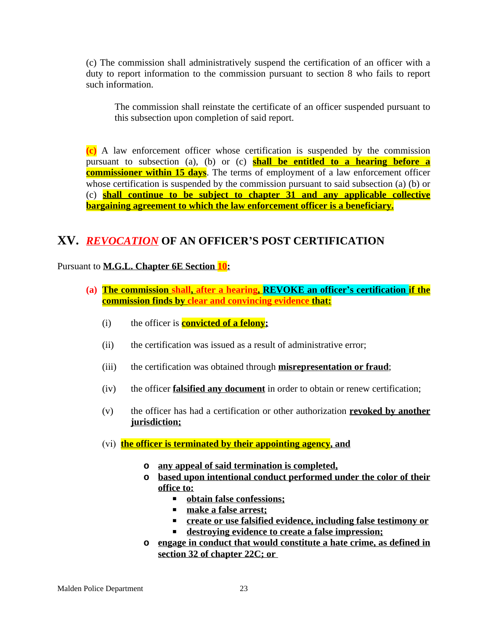(c) The commission shall administratively suspend the certification of an officer with a duty to report information to the commission pursuant to section 8 who fails to report such information.

The commission shall reinstate the certificate of an officer suspended pursuant to this subsection upon completion of said report.

**(c)** A law enforcement officer whose certification is suspended by the commission pursuant to subsection (a), (b) or (c) **shall be entitled to a hearing before a commissioner within 15 days**. The terms of employment of a law enforcement officer whose certification is suspended by the commission pursuant to said subsection (a) (b) or (c) **shall continue to be subject to chapter 31 and any applicable collective bargaining agreement to which the law enforcement officer is a beneficiary.**

### **XV.** *REVOCATION* **OF AN OFFICER'S POST CERTIFICATION**

Pursuant to **M.G.L. Chapter 6E Section 10:**

- **(a) The commission shall, after a hearing, REVOKE an officer's certification if the commission finds by clear and convincing evidence that:**
	- (i) the officer is **convicted of a felony;**
	- (ii) the certification was issued as a result of administrative error;
	- (iii) the certification was obtained through **misrepresentation or fraud**;
	- (iv) the officer **falsified any document** in order to obtain or renew certification;
	- (v) the officer has had a certification or other authorization **revoked by another jurisdiction;**
	- (vi) **the officer is terminated by their appointing agency, and**
		- **o any appeal of said termination is completed,**
		- **o based upon intentional conduct performed under the color of their office to:**
			- **obtain false confessions;**
			- **make a false arrest;**
			- **create or use falsified evidence, including false testimony or**
			- **destroying evidence to create a false impression;**
		- **o engage in conduct that would constitute a hate crime, as defined in section 32 of chapter 22C; or**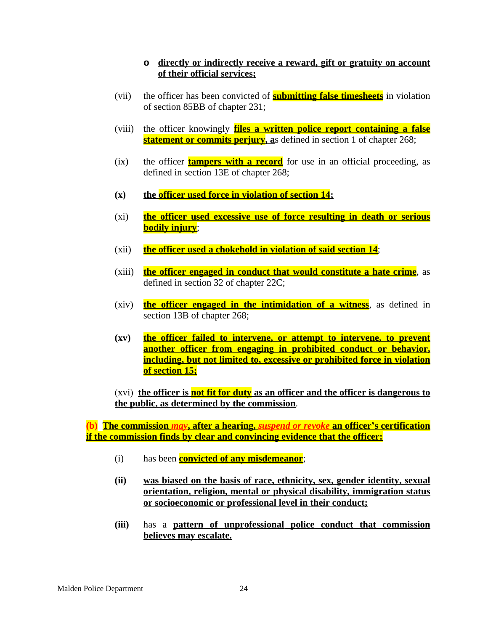#### **o directly or indirectly receive a reward, gift or gratuity on account of their official services;**

- (vii) the officer has been convicted of **submitting false timesheets** in violation of section 85BB of chapter 231;
- (viii) the officer knowingly **files a written police report containing a false statement or commits perjury, as** defined in section 1 of chapter 268;
- (ix) the officer **tampers with a record** for use in an official proceeding, as defined in section 13E of chapter 268;
- **(x) the officer used force in violation of section 14;**
- (xi) **the officer used excessive use of force resulting in death or serious bodily injury**;
- (xii) **the officer used a chokehold in violation of said section 14**;
- (xiii) **the officer engaged in conduct that would constitute a hate crime**, as defined in section 32 of chapter 22C;
- (xiv) **the officer engaged in the intimidation of a witness**, as defined in section 13B of chapter 268;
- **(xv) the officer failed to intervene, or attempt to intervene, to prevent another officer from engaging in prohibited conduct or behavior, including, but not limited to, excessive or prohibited force in violation of section 15;**

(xvi) **the officer is not fit for duty as an officer and the officer is dangerous to the public, as determined by the commission**.

**(b) The commission** *may***, after a hearing,** *suspend or revoke* **an officer's certification if the commission finds by clear and convincing evidence that the officer:**

- (i) has been **convicted of any misdemeanor**;
- **(ii) was biased on the basis of race, ethnicity, sex, gender identity, sexual orientation, religion, mental or physical disability, immigration status or socioeconomic or professional level in their conduct;**
- **(iii)** has a **pattern of unprofessional police conduct that commission believes may escalate.**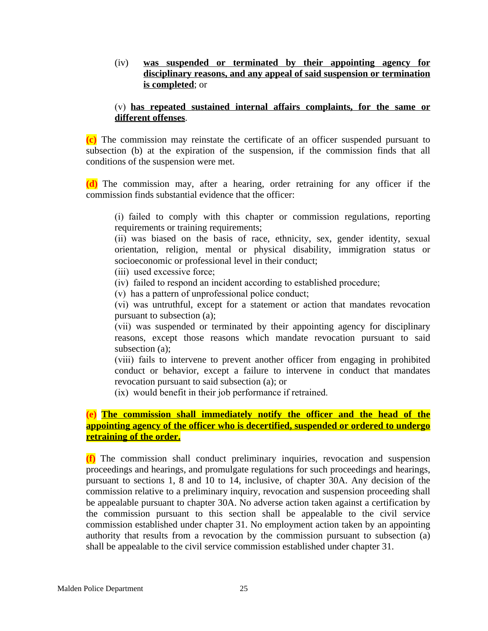(iv) **was suspended or terminated by their appointing agency for disciplinary reasons, and any appeal of said suspension or termination is completed**; or

#### (v) **has repeated sustained internal affairs complaints, for the same or different offenses**.

**(c)** The commission may reinstate the certificate of an officer suspended pursuant to subsection (b) at the expiration of the suspension, if the commission finds that all conditions of the suspension were met.

**(d)** The commission may, after a hearing, order retraining for any officer if the commission finds substantial evidence that the officer:

(i) failed to comply with this chapter or commission regulations, reporting requirements or training requirements;

(ii) was biased on the basis of race, ethnicity, sex, gender identity, sexual orientation, religion, mental or physical disability, immigration status or socioeconomic or professional level in their conduct;

(iii) used excessive force;

(iv) failed to respond an incident according to established procedure;

(v) has a pattern of unprofessional police conduct;

(vi) was untruthful, except for a statement or action that mandates revocation pursuant to subsection (a);

(vii) was suspended or terminated by their appointing agency for disciplinary reasons, except those reasons which mandate revocation pursuant to said subsection (a);

(viii) fails to intervene to prevent another officer from engaging in prohibited conduct or behavior, except a failure to intervene in conduct that mandates revocation pursuant to said subsection (a); or

(ix) would benefit in their job performance if retrained.

**(e) The commission shall immediately notify the officer and the head of the appointing agency of the officer who is decertified, suspended or ordered to undergo retraining of the order.**

**(f)** The commission shall conduct preliminary inquiries, revocation and suspension proceedings and hearings, and promulgate regulations for such proceedings and hearings, pursuant to sections 1, 8 and 10 to 14, inclusive, of chapter 30A. Any decision of the commission relative to a preliminary inquiry, revocation and suspension proceeding shall be appealable pursuant to chapter 30A. No adverse action taken against a certification by the commission pursuant to this section shall be appealable to the civil service commission established under chapter 31. No employment action taken by an appointing authority that results from a revocation by the commission pursuant to subsection (a) shall be appealable to the civil service commission established under chapter 31.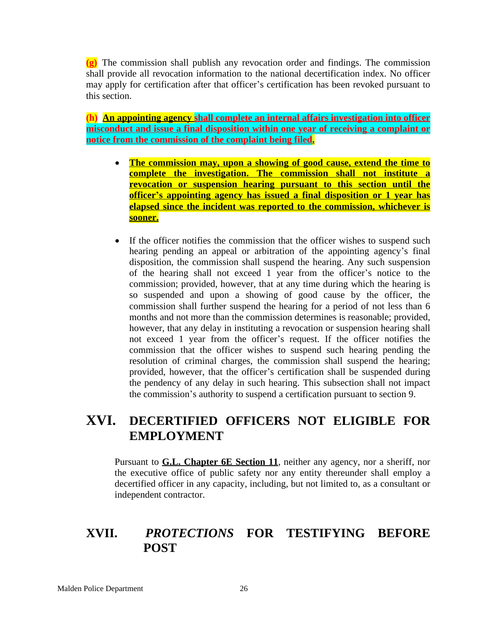**(g)** The commission shall publish any revocation order and findings. The commission shall provide all revocation information to the national decertification index. No officer may apply for certification after that officer's certification has been revoked pursuant to this section.

**(h) An appointing agency shall complete an internal affairs investigation into officer misconduct and issue a final disposition within one year of receiving a complaint or notice from the commission of the complaint being filed.**

- **The commission may, upon a showing of good cause, extend the time to complete the investigation. The commission shall not institute a revocation or suspension hearing pursuant to this section until the officer's appointing agency has issued a final disposition or 1 year has elapsed since the incident was reported to the commission, whichever is sooner.**
- If the officer notifies the commission that the officer wishes to suspend such hearing pending an appeal or arbitration of the appointing agency's final disposition, the commission shall suspend the hearing. Any such suspension of the hearing shall not exceed 1 year from the officer's notice to the commission; provided, however, that at any time during which the hearing is so suspended and upon a showing of good cause by the officer, the commission shall further suspend the hearing for a period of not less than 6 months and not more than the commission determines is reasonable; provided, however, that any delay in instituting a revocation or suspension hearing shall not exceed 1 year from the officer's request. If the officer notifies the commission that the officer wishes to suspend such hearing pending the resolution of criminal charges, the commission shall suspend the hearing; provided, however, that the officer's certification shall be suspended during the pendency of any delay in such hearing. This subsection shall not impact the commission's authority to suspend a certification pursuant to section 9.

### **XVI. DECERTIFIED OFFICERS NOT ELIGIBLE FOR EMPLOYMENT**

Pursuant to **G.L. Chapter 6E Section 11**, neither any agency, nor a sheriff, nor the executive office of public safety nor any entity thereunder shall employ a decertified officer in any capacity, including, but not limited to, as a consultant or independent contractor.

### **XVII.** *PROTECTIONS* **FOR TESTIFYING BEFORE POST**